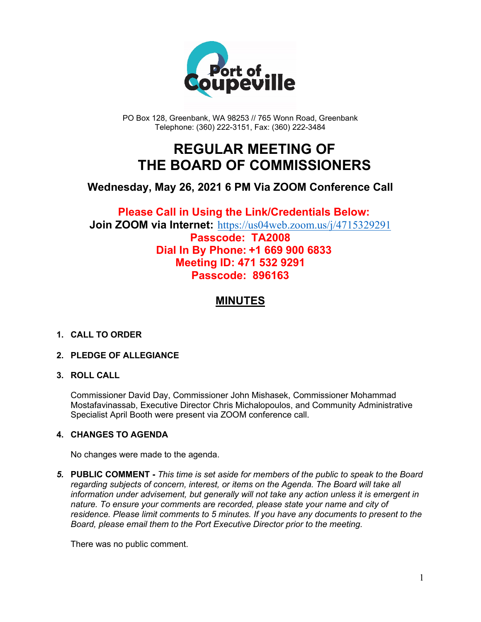

PO Box 128, Greenbank, WA 98253 // 765 Wonn Road, Greenbank Telephone: (360) 222-3151, Fax: (360) 222-3484

# **REGULAR MEETING OF THE BOARD OF COMMISSIONERS**

## **Wednesday, May 26, 2021 6 PM Via ZOOM Conference Call**

### **Please Call in Using the Link/Credentials Below: Join ZOOM via Internet:** <https://us04web.zoom.us/j/4715329291> **Passcode: TA2008 Dial In By Phone: +1 669 900 6833 Meeting ID: 471 532 9291 Passcode: 896163**

## **MINUTES**

#### **1. CALL TO ORDER**

#### **2. PLEDGE OF ALLEGIANCE**

#### **3. ROLL CALL**

Commissioner David Day, Commissioner John Mishasek, Commissioner Mohammad Mostafavinassab, Executive Director Chris Michalopoulos, and Community Administrative Specialist April Booth were present via ZOOM conference call.

#### **4. CHANGES TO AGENDA**

No changes were made to the agenda.

*5.* **PUBLIC COMMENT -** *This time is set aside for members of the public to speak to the Board regarding subjects of concern, interest, or items on the Agenda. The Board will take all information under advisement, but generally will not take any action unless it is emergent in nature. To ensure your comments are recorded, please state your name and city of residence. Please limit comments to 5 minutes. If you have any documents to present to the Board, please email them to the Port Executive Director prior to the meeting.*

There was no public comment.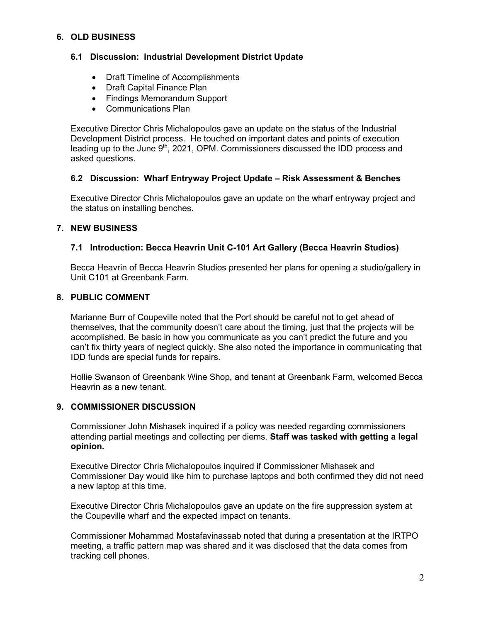#### **6. OLD BUSINESS**

#### **6.1 Discussion: Industrial Development District Update**

- Draft Timeline of Accomplishments
- Draft Capital Finance Plan
- Findings Memorandum Support
- Communications Plan

Executive Director Chris Michalopoulos gave an update on the status of the Industrial Development District process. He touched on important dates and points of execution leading up to the June  $9<sup>th</sup>$ , 2021, OPM. Commissioners discussed the IDD process and asked questions.

#### **6.2 Discussion: Wharf Entryway Project Update – Risk Assessment & Benches**

Executive Director Chris Michalopoulos gave an update on the wharf entryway project and the status on installing benches.

#### **7. NEW BUSINESS**

#### **7.1 Introduction: Becca Heavrin Unit C-101 Art Gallery (Becca Heavrin Studios)**

Becca Heavrin of Becca Heavrin Studios presented her plans for opening a studio/gallery in Unit C101 at Greenbank Farm.

#### **8. PUBLIC COMMENT**

Marianne Burr of Coupeville noted that the Port should be careful not to get ahead of themselves, that the community doesn't care about the timing, just that the projects will be accomplished. Be basic in how you communicate as you can't predict the future and you can't fix thirty years of neglect quickly. She also noted the importance in communicating that IDD funds are special funds for repairs.

Hollie Swanson of Greenbank Wine Shop, and tenant at Greenbank Farm, welcomed Becca Heavrin as a new tenant.

#### **9. COMMISSIONER DISCUSSION**

Commissioner John Mishasek inquired if a policy was needed regarding commissioners attending partial meetings and collecting per diems. **Staff was tasked with getting a legal opinion.**

Executive Director Chris Michalopoulos inquired if Commissioner Mishasek and Commissioner Day would like him to purchase laptops and both confirmed they did not need a new laptop at this time.

Executive Director Chris Michalopoulos gave an update on the fire suppression system at the Coupeville wharf and the expected impact on tenants.

Commissioner Mohammad Mostafavinassab noted that during a presentation at the IRTPO meeting, a traffic pattern map was shared and it was disclosed that the data comes from tracking cell phones.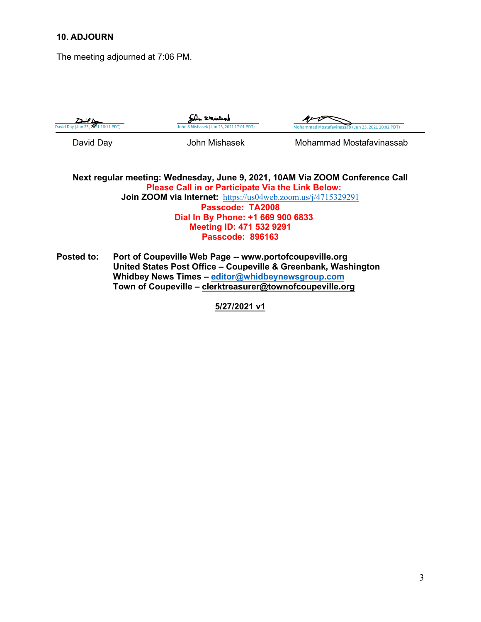#### **10. ADJOURN**

The meeting adjourned at 7:06 PM.

| David Day (Jun 23, 2021 16:11 PDT) | De smichal<br>John S Mishasek (Jun 23, 2021 17:01 PDT) | Mohammad Mostafavinassab (Jun 23, 2021 20:02 PDT) |
|------------------------------------|--------------------------------------------------------|---------------------------------------------------|
| David Day                          | John Mishasek                                          | Mohammad Mostafavinassab                          |

**Next regular meeting: Wednesday, June 9, 2021, 10AM Via ZOOM Conference Call Please Call in or Participate Via the Link Below: Join ZOOM via Internet:** <https://us04web.zoom.us/j/4715329291> **Passcode: TA2008 Dial In By Phone: +1 669 900 6833 Meeting ID: 471 532 9291 Passcode: 896163**

**Posted to: Port of Coupeville Web Page -- www.portofcoupeville.org United States Post Office – Coupeville & Greenbank, Washington Whidbey News Times – [editor@whidbeynewsgroup.com](mailto:editor@whidbeynewsgroup.com) Town of Coupeville – [clerktreasurer@townofcoupeville.org](mailto:clerktreasurer@townofcoupeville.org)**

**5/27/2021 v1**